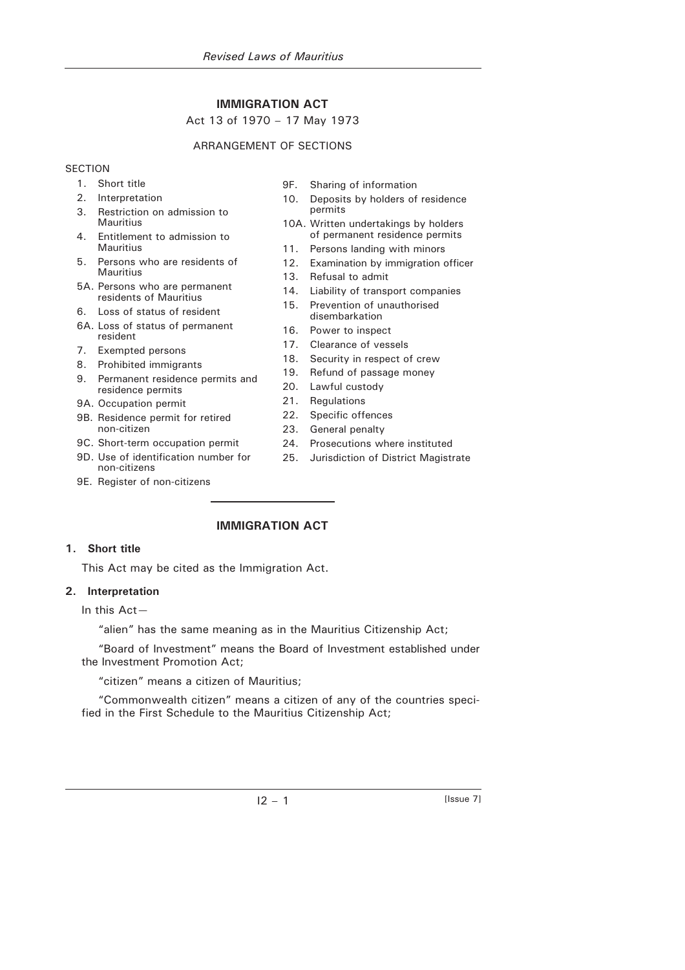# **IMMIGRATION ACT**

# Act 13 of 1970 – 17 May 1973

# ARRANGEMENT OF SECTIONS

### **SECTION**

- 1. Short title
- 2. Interpretation
- 3. Restriction on admission to **Mauritius**
- 4. Entitlement to admission to Mauritius
- 5. Persons who are residents of **Mauritius**
- 5A. Persons who are permanent residents of Mauritius
- 6. Loss of status of resident
- 6A. Loss of status of permanent resident
- 7. Exempted persons
- 8. Prohibited immigrants
- 9. Permanent residence permits and residence permits
- 9A. Occupation permit
- 9B. Residence permit for retired non-citizen
- 9C. Short-term occupation permit
- 9D. Use of identification number for non-citizens
- 9E. Register of non-citizens
- 9F. Sharing of information
- 10. Deposits by holders of residence permits
- 10A. Written undertakings by holders of permanent residence permits
- 11. Persons landing with minors
- 12. Examination by immigration officer
- 13. Refusal to admit
- 14. Liability of transport companies
- 15. Prevention of unauthorised disembarkation
- 16. Power to inspect
- 17. Clearance of vessels
- 18. Security in respect of crew
- 19. Refund of passage money
- 20. Lawful custody
- 21. Regulations
- 22. Specific offences
- 23. General penalty
- 24. Prosecutions where instituted
- 25. Jurisdiction of District Magistrate

# **IMMIGRATION ACT**

## **1. Short title**

This Act may be cited as the Immigration Act.

## **2. Interpretation**

In this Act—

"alien" has the same meaning as in the Mauritius Citizenship Act;

"Board of Investment" means the Board of Investment established under the Investment Promotion Act;

"citizen" means a citizen of Mauritius;

"Commonwealth citizen" means a citizen of any of the countries specified in the First Schedule to the Mauritius Citizenship Act;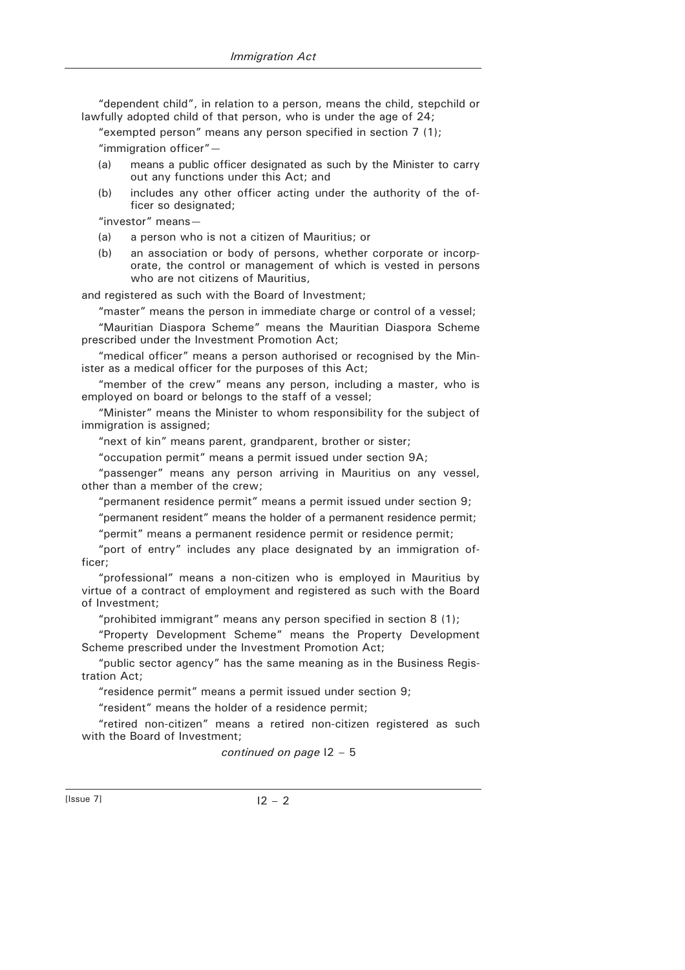"dependent child", in relation to a person, means the child, stepchild or lawfully adopted child of that person, who is under the age of 24;

"exempted person" means any person specified in section 7 (1); "immigration officer"—

- (a) means a public officer designated as such by the Minister to carry out any functions under this Act; and
- (b) includes any other officer acting under the authority of the officer so designated;

"investor" means—

- (a) a person who is not a citizen of Mauritius; or
- (b) an association or body of persons, whether corporate or incorporate, the control or management of which is vested in persons who are not citizens of Mauritius,

and registered as such with the Board of Investment;

"master" means the person in immediate charge or control of a vessel;

"Mauritian Diaspora Scheme" means the Mauritian Diaspora Scheme prescribed under the Investment Promotion Act;

"medical officer" means a person authorised or recognised by the Minister as a medical officer for the purposes of this Act;

"member of the crew" means any person, including a master, who is employed on board or belongs to the staff of a vessel;

"Minister" means the Minister to whom responsibility for the subject of immigration is assigned;

"next of kin" means parent, grandparent, brother or sister;

"occupation permit" means a permit issued under section 9A;

"passenger" means any person arriving in Mauritius on any vessel, other than a member of the crew;

"permanent residence permit" means a permit issued under section 9;

"permanent resident" means the holder of a permanent residence permit; "permit" means a permanent residence permit or residence permit;

"port of entry" includes any place designated by an immigration officer;

"professional" means a non-citizen who is employed in Mauritius by virtue of a contract of employment and registered as such with the Board of Investment;

"prohibited immigrant" means any person specified in section 8 (1);

"Property Development Scheme" means the Property Development Scheme prescribed under the Investment Promotion Act;

"public sector agency" has the same meaning as in the Business Registration Act;

"residence permit" means a permit issued under section 9;

"resident" means the holder of a residence permit;

"retired non-citizen" means a retired non-citizen registered as such with the Board of Investment;

*continued on page* I2 – 5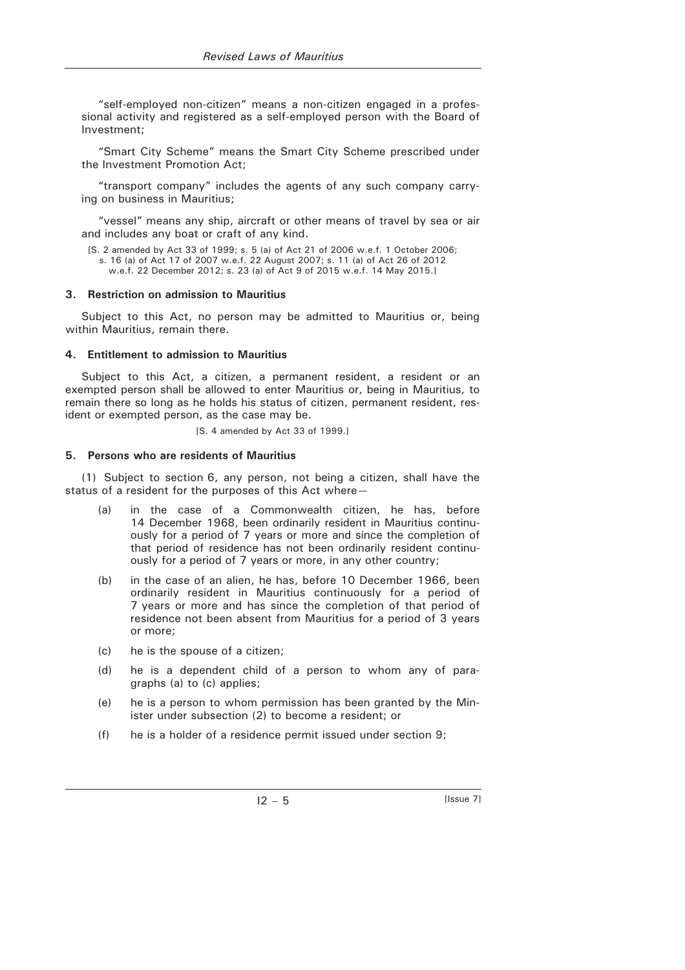"self-employed non-citizen" means a non-citizen engaged in a professional activity and registered as a self-employed person with the Board of Investment;

"Smart City Scheme" means the Smart City Scheme prescribed under the Investment Promotion Act;

"transport company" includes the agents of any such company carrying on business in Mauritius;

"vessel" means any ship, aircraft or other means of travel by sea or air and includes any boat or craft of any kind.

```
[S. 2 amended by Act 33 of 1999; s. 5 (a) of Act 21 of 2006 w.e.f. 1 October 2006; 
s. 16 (a) of Act 17 of 2007 w.e.f. 22 August 2007; s. 11 (a) of Act 26 of 2012 
  w.e.f. 22 December 2012; s. 23 (a) of Act 9 of 2015 w.e.f. 14 May 2015.]
```
### **3. Restriction on admission to Mauritius**

Subject to this Act, no person may be admitted to Mauritius or, being within Mauritius, remain there.

#### **4. Entitlement to admission to Mauritius**

Subject to this Act, a citizen, a permanent resident, a resident or an exempted person shall be allowed to enter Mauritius or, being in Mauritius, to remain there so long as he holds his status of citizen, permanent resident, resident or exempted person, as the case may be.

[S. 4 amended by Act 33 of 1999.]

#### **5. Persons who are residents of Mauritius**

(1) Subject to section 6, any person, not being a citizen, shall have the status of a resident for the purposes of this Act where—

- (a) in the case of a Commonwealth citizen, he has, before 14 December 1968, been ordinarily resident in Mauritius continuously for a period of 7 years or more and since the completion of that period of residence has not been ordinarily resident continuously for a period of 7 years or more, in any other country;
- (b) in the case of an alien, he has, before 10 December 1966, been ordinarily resident in Mauritius continuously for a period of 7 years or more and has since the completion of that period of residence not been absent from Mauritius for a period of 3 years or more;
- (c) he is the spouse of a citizen;
- (d) he is a dependent child of a person to whom any of paragraphs (a) to (c) applies;
- (e) he is a person to whom permission has been granted by the Minister under subsection (2) to become a resident; or
- (f) he is a holder of a residence permit issued under section 9;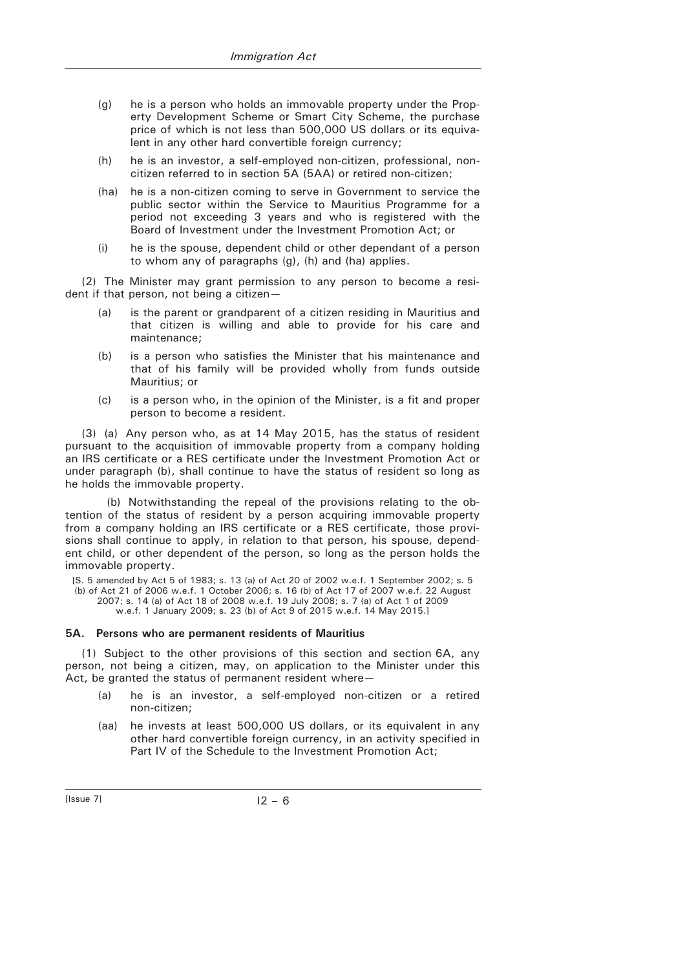- (g) he is a person who holds an immovable property under the Property Development Scheme or Smart City Scheme, the purchase price of which is not less than 500,000 US dollars or its equivalent in any other hard convertible foreign currency;
- (h) he is an investor, a self-employed non-citizen, professional, noncitizen referred to in section 5A (5AA) or retired non-citizen;
- (ha) he is a non-citizen coming to serve in Government to service the public sector within the Service to Mauritius Programme for a period not exceeding 3 years and who is registered with the Board of Investment under the Investment Promotion Act; or
- (i) he is the spouse, dependent child or other dependant of a person to whom any of paragraphs (g), (h) and (ha) applies.

(2) The Minister may grant permission to any person to become a resident if that person, not being a citizen—

- (a) is the parent or grandparent of a citizen residing in Mauritius and that citizen is willing and able to provide for his care and maintenance;
- (b) is a person who satisfies the Minister that his maintenance and that of his family will be provided wholly from funds outside Mauritius; or
- (c) is a person who, in the opinion of the Minister, is a fit and proper person to become a resident.

(3) (a) Any person who, as at 14 May 2015, has the status of resident pursuant to the acquisition of immovable property from a company holding an IRS certificate or a RES certificate under the Investment Promotion Act or under paragraph (b), shall continue to have the status of resident so long as he holds the immovable property.

(b) Notwithstanding the repeal of the provisions relating to the obtention of the status of resident by a person acquiring immovable property from a company holding an IRS certificate or a RES certificate, those provisions shall continue to apply, in relation to that person, his spouse, dependent child, or other dependent of the person, so long as the person holds the immovable property.

[S. 5 amended by Act 5 of 1983; s. 13 (a) of Act 20 of 2002 w.e.f. 1 September 2002; s. 5 (b) of Act 21 of 2006 w.e.f. 1 October 2006; s. 16 (b) of Act 17 of 2007 w.e.f. 22 August 2007; s. 14 (a) of Act 18 of 2008 w.e.f. 19 July 2008; s. 7 (a) of Act 1 of 2009 w.e.f. 1 January 2009; s. 23 (b) of Act 9 of 2015 w.e.f. 14 May 2015.]

#### **5A. Persons who are permanent residents of Mauritius**

(1) Subject to the other provisions of this section and section 6A, any person, not being a citizen, may, on application to the Minister under this Act, be granted the status of permanent resident where—

- (a) he is an investor, a self-employed non-citizen or a retired non-citizen;
- (aa) he invests at least 500,000 US dollars, or its equivalent in any other hard convertible foreign currency, in an activity specified in Part IV of the Schedule to the Investment Promotion Act;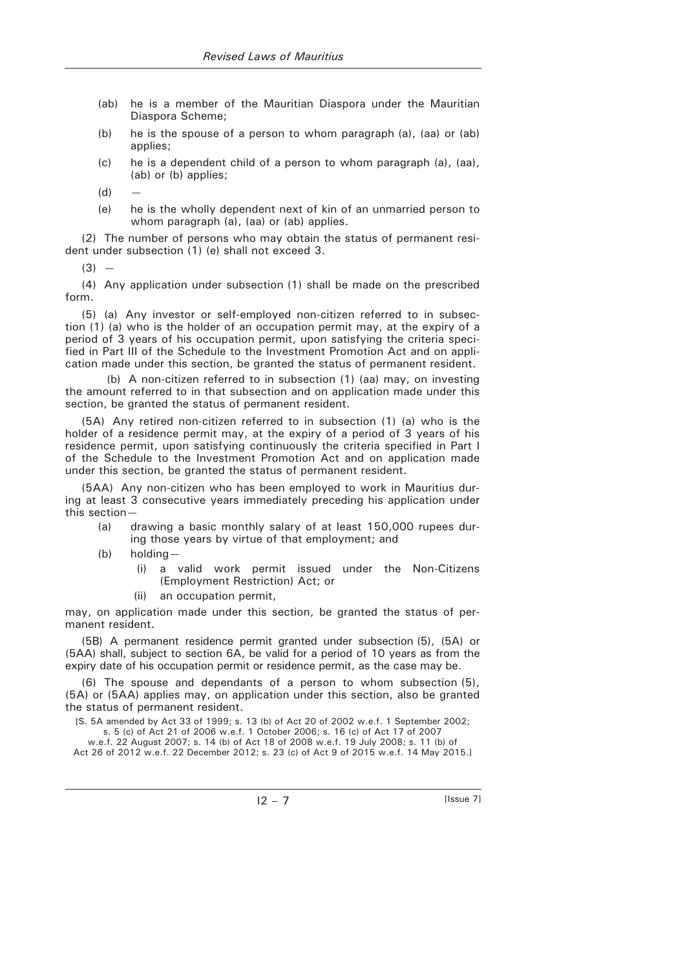- (ab) he is a member of the Mauritian Diaspora under the Mauritian Diaspora Scheme;
- (b) he is the spouse of a person to whom paragraph (a), (aa) or (ab) applies;
- (c) he is a dependent child of a person to whom paragraph (a), (aa), (ab) or (b) applies;

 $(d)$ 

 (e) he is the wholly dependent next of kin of an unmarried person to whom paragraph (a), (aa) or (ab) applies.

(2) The number of persons who may obtain the status of permanent resident under subsection (1) (e) shall not exceed 3.

 $(3) -$ 

(4) Any application under subsection (1) shall be made on the prescribed form.

(5) (a) Any investor or self-employed non-citizen referred to in subsection (1) (a) who is the holder of an occupation permit may, at the expiry of a period of 3 years of his occupation permit, upon satisfying the criteria specified in Part III of the Schedule to the Investment Promotion Act and on application made under this section, be granted the status of permanent resident.

(b) A non-citizen referred to in subsection (1) (aa) may, on investing the amount referred to in that subsection and on application made under this section, be granted the status of permanent resident.

(5A) Any retired non-citizen referred to in subsection (1) (a) who is the holder of a residence permit may, at the expiry of a period of 3 years of his residence permit, upon satisfying continuously the criteria specified in Part I of the Schedule to the Investment Promotion Act and on application made under this section, be granted the status of permanent resident.

(5AA) Any non-citizen who has been employed to work in Mauritius during at least 3 consecutive years immediately preceding his application under this section—

- (a) drawing a basic monthly salary of at least 150,000 rupees during those years by virtue of that employment; and
- (b) holding—
	- (i) a valid work permit issued under the Non-Citizens (Employment Restriction) Act; or
	- (ii) an occupation permit,

may, on application made under this section, be granted the status of permanent resident.

(5B) A permanent residence permit granted under subsection (5), (5A) or (5AA) shall, subject to section 6A, be valid for a period of 10 years as from the expiry date of his occupation permit or residence permit, as the case may be.

(6) The spouse and dependants of a person to whom subsection (5), (5A) or (5AA) applies may, on application under this section, also be granted the status of permanent resident.

[S. 5A amended by Act 33 of 1999; s. 13 (b) of Act 20 of 2002 w.e.f. 1 September 2002; s. 5 (c) of Act 21 of 2006 w.e.f. 1 October 2006; s. 16 (c) of Act 17 of 2007

w.e.f. 22 August 2007; s. 14 (b) of Act 18 of 2008 w.e.f. 19 July 2008; s. 11 (b) of Act 26 of 2012 w.e.f. 22 December 2012; s. 23 (c) of Act 9 of 2015 w.e.f. 14 May 2015.]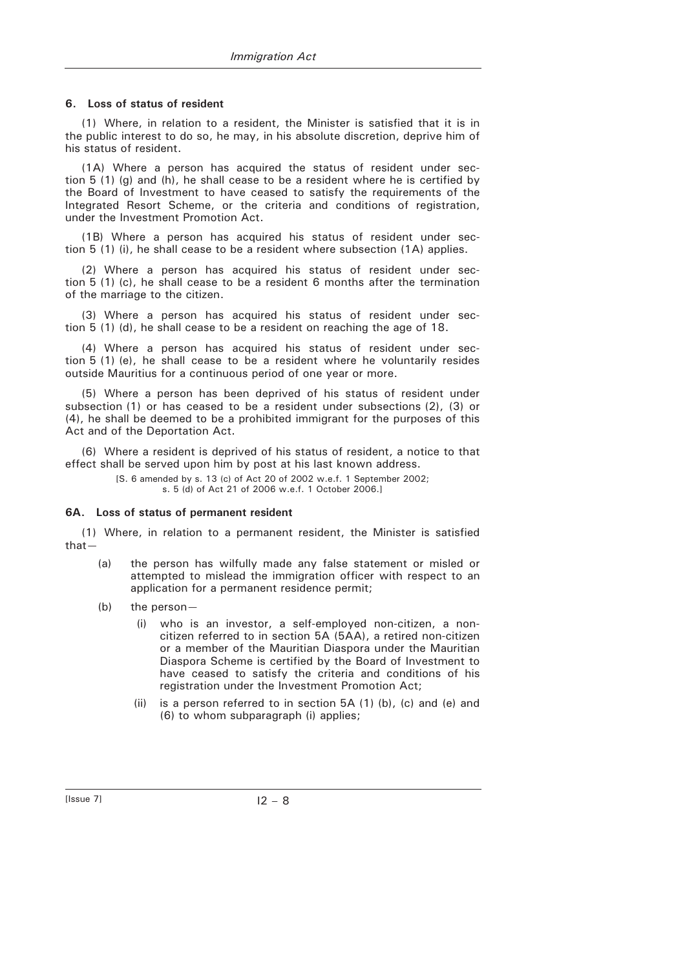### **6. Loss of status of resident**

(1) Where, in relation to a resident, the Minister is satisfied that it is in the public interest to do so, he may, in his absolute discretion, deprive him of his status of resident.

(1A) Where a person has acquired the status of resident under section 5 (1) (g) and (h), he shall cease to be a resident where he is certified by the Board of Investment to have ceased to satisfy the requirements of the Integrated Resort Scheme, or the criteria and conditions of registration, under the Investment Promotion Act.

(1B) Where a person has acquired his status of resident under section 5 (1) (i), he shall cease to be a resident where subsection (1A) applies.

(2) Where a person has acquired his status of resident under section 5 (1) (c), he shall cease to be a resident 6 months after the termination of the marriage to the citizen.

(3) Where a person has acquired his status of resident under section 5 (1) (d), he shall cease to be a resident on reaching the age of 18.

(4) Where a person has acquired his status of resident under section 5 (1) (e), he shall cease to be a resident where he voluntarily resides outside Mauritius for a continuous period of one year or more.

(5) Where a person has been deprived of his status of resident under subsection (1) or has ceased to be a resident under subsections (2), (3) or (4), he shall be deemed to be a prohibited immigrant for the purposes of this Act and of the Deportation Act.

(6) Where a resident is deprived of his status of resident, a notice to that effect shall be served upon him by post at his last known address.

[S. 6 amended by s. 13 (c) of Act 20 of 2002 w.e.f. 1 September 2002;

s. 5 (d) of Act 21 of 2006 w.e.f. 1 October 2006.]

#### **6A. Loss of status of permanent resident**

(1) Where, in relation to a permanent resident, the Minister is satisfied that—

- (a) the person has wilfully made any false statement or misled or attempted to mislead the immigration officer with respect to an application for a permanent residence permit;
- (b) the person—
	- (i) who is an investor, a self-employed non-citizen, a noncitizen referred to in section 5A (5AA), a retired non-citizen or a member of the Mauritian Diaspora under the Mauritian Diaspora Scheme is certified by the Board of Investment to have ceased to satisfy the criteria and conditions of his registration under the Investment Promotion Act;
	- (ii) is a person referred to in section 5A (1) (b), (c) and (e) and (6) to whom subparagraph (i) applies;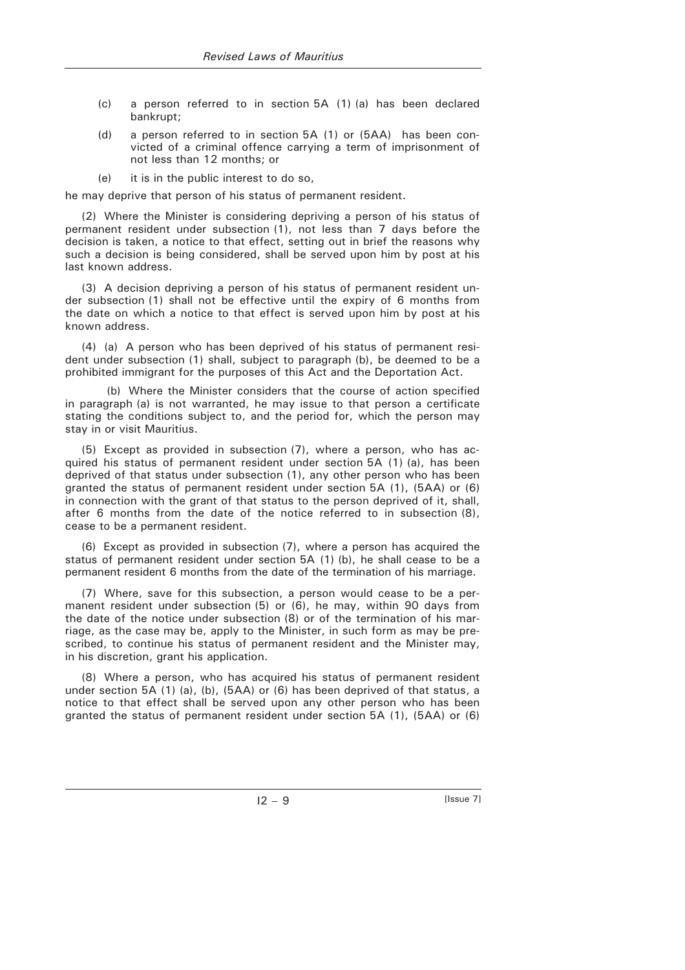- (c) a person referred to in section 5A (1) (a) has been declared bankrupt;
- (d) a person referred to in section 5A (1) or (5AA) has been convicted of a criminal offence carrying a term of imprisonment of not less than 12 months; or
- (e) it is in the public interest to do so,

he may deprive that person of his status of permanent resident.

(2) Where the Minister is considering depriving a person of his status of permanent resident under subsection (1), not less than 7 days before the decision is taken, a notice to that effect, setting out in brief the reasons why such a decision is being considered, shall be served upon him by post at his last known address.

(3) A decision depriving a person of his status of permanent resident under subsection (1) shall not be effective until the expiry of 6 months from the date on which a notice to that effect is served upon him by post at his known address.

(4) (a) A person who has been deprived of his status of permanent resident under subsection (1) shall, subject to paragraph (b), be deemed to be a prohibited immigrant for the purposes of this Act and the Deportation Act.

(b) Where the Minister considers that the course of action specified in paragraph (a) is not warranted, he may issue to that person a certificate stating the conditions subject to, and the period for, which the person may stay in or visit Mauritius.

(5) Except as provided in subsection (7), where a person, who has acquired his status of permanent resident under section 5A (1) (a), has been deprived of that status under subsection (1), any other person who has been granted the status of permanent resident under section 5A (1), (5AA) or (6) in connection with the grant of that status to the person deprived of it, shall, after 6 months from the date of the notice referred to in subsection (8), cease to be a permanent resident.

(6) Except as provided in subsection (7), where a person has acquired the status of permanent resident under section 5A (1) (b), he shall cease to be a permanent resident 6 months from the date of the termination of his marriage.

(7) Where, save for this subsection, a person would cease to be a permanent resident under subsection (5) or (6), he may, within 90 days from the date of the notice under subsection (8) or of the termination of his marriage, as the case may be, apply to the Minister, in such form as may be prescribed, to continue his status of permanent resident and the Minister may, in his discretion, grant his application.

(8) Where a person, who has acquired his status of permanent resident under section 5A (1) (a), (b), (5AA) or (6) has been deprived of that status, a notice to that effect shall be served upon any other person who has been granted the status of permanent resident under section 5A (1), (5AA) or (6)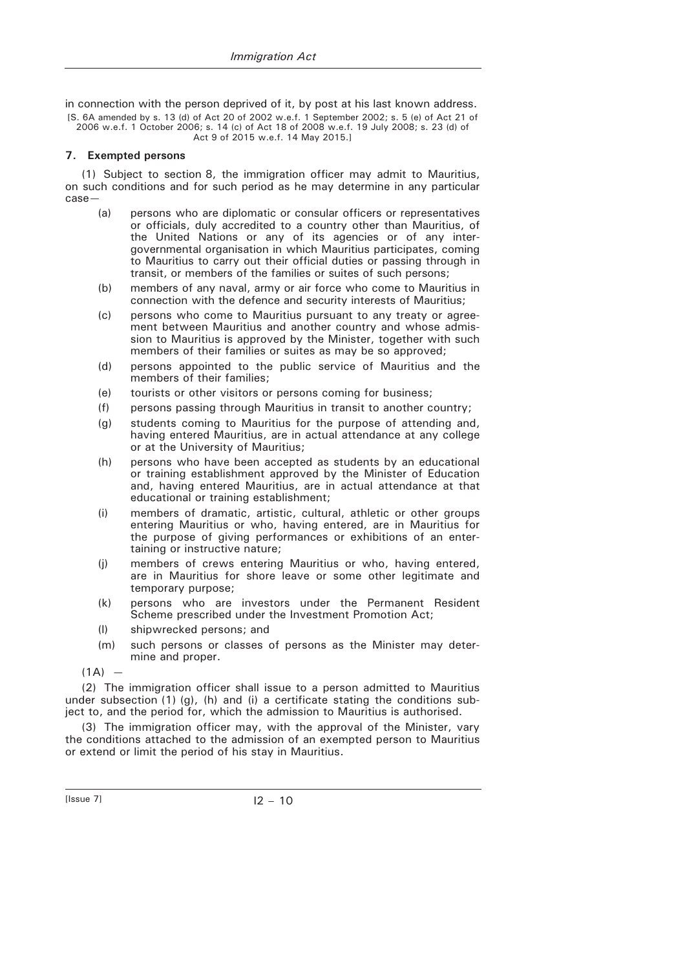in connection with the person deprived of it, by post at his last known address.

[S. 6A amended by s. 13 (d) of Act 20 of 2002 w.e.f. 1 September 2002; s. 5 (e) of Act 21 of 2006 w.e.f. 1 October 2006; s. 14 (c) of Act 18 of 2008 w.e.f. 19 July 2008; s. 23 (d) of Act 9 of 2015 w.e.f. 14 May 2015.]

### **7. Exempted persons**

(1) Subject to section 8, the immigration officer may admit to Mauritius, on such conditions and for such period as he may determine in any particular case—

- (a) persons who are diplomatic or consular officers or representatives or officials, duly accredited to a country other than Mauritius, of the United Nations or any of its agencies or of any intergovernmental organisation in which Mauritius participates, coming to Mauritius to carry out their official duties or passing through in transit, or members of the families or suites of such persons;
- (b) members of any naval, army or air force who come to Mauritius in connection with the defence and security interests of Mauritius;
- (c) persons who come to Mauritius pursuant to any treaty or agreement between Mauritius and another country and whose admission to Mauritius is approved by the Minister, together with such members of their families or suites as may be so approved;
- (d) persons appointed to the public service of Mauritius and the members of their families;
- (e) tourists or other visitors or persons coming for business;
- (f) persons passing through Mauritius in transit to another country;
- (g) students coming to Mauritius for the purpose of attending and, having entered Mauritius, are in actual attendance at any college or at the University of Mauritius;
- (h) persons who have been accepted as students by an educational or training establishment approved by the Minister of Education and, having entered Mauritius, are in actual attendance at that educational or training establishment;
- (i) members of dramatic, artistic, cultural, athletic or other groups entering Mauritius or who, having entered, are in Mauritius for the purpose of giving performances or exhibitions of an entertaining or instructive nature;
- (j) members of crews entering Mauritius or who, having entered, are in Mauritius for shore leave or some other legitimate and temporary purpose;
- (k) persons who are investors under the Permanent Resident Scheme prescribed under the Investment Promotion Act;
- (l) shipwrecked persons; and
- (m) such persons or classes of persons as the Minister may determine and proper.

 $(1A)$  –

(2) The immigration officer shall issue to a person admitted to Mauritius under subsection  $(1)$   $(q)$ ,  $(h)$  and  $(i)$  a certificate stating the conditions subject to, and the period for, which the admission to Mauritius is authorised.

(3) The immigration officer may, with the approval of the Minister, vary the conditions attached to the admission of an exempted person to Mauritius or extend or limit the period of his stay in Mauritius.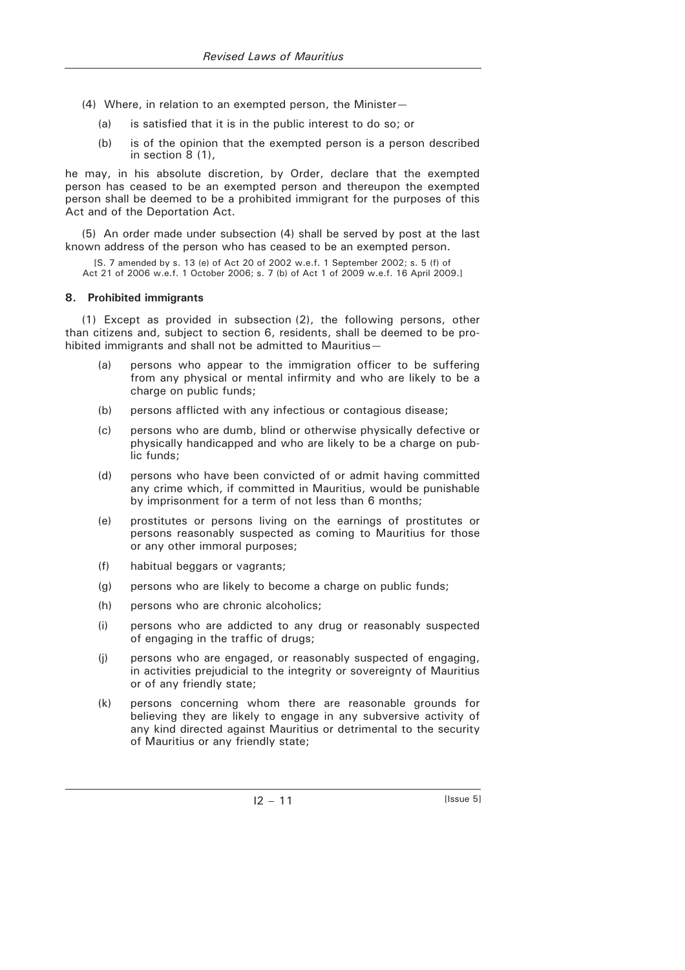- (4) Where, in relation to an exempted person, the Minister—
	- (a) is satisfied that it is in the public interest to do so; or
	- (b) is of the opinion that the exempted person is a person described in section 8 (1),

he may, in his absolute discretion, by Order, declare that the exempted person has ceased to be an exempted person and thereupon the exempted person shall be deemed to be a prohibited immigrant for the purposes of this Act and of the Deportation Act.

(5) An order made under subsection (4) shall be served by post at the last known address of the person who has ceased to be an exempted person.

[S. 7 amended by s. 13 (e) of Act 20 of 2002 w.e.f. 1 September 2002; s. 5 (f) of Act 21 of 2006 w.e.f. 1 October 2006; s. 7 (b) of Act 1 of 2009 w.e.f. 16 April 2009.]

### **8. Prohibited immigrants**

(1) Except as provided in subsection (2), the following persons, other than citizens and, subject to section 6, residents, shall be deemed to be prohibited immigrants and shall not be admitted to Mauritius—

- (a) persons who appear to the immigration officer to be suffering from any physical or mental infirmity and who are likely to be a charge on public funds;
- (b) persons afflicted with any infectious or contagious disease;
- (c) persons who are dumb, blind or otherwise physically defective or physically handicapped and who are likely to be a charge on public funds;
- (d) persons who have been convicted of or admit having committed any crime which, if committed in Mauritius, would be punishable by imprisonment for a term of not less than 6 months;
- (e) prostitutes or persons living on the earnings of prostitutes or persons reasonably suspected as coming to Mauritius for those or any other immoral purposes;
- (f) habitual beggars or vagrants;
- (g) persons who are likely to become a charge on public funds;
- (h) persons who are chronic alcoholics;
- (i) persons who are addicted to any drug or reasonably suspected of engaging in the traffic of drugs;
- (j) persons who are engaged, or reasonably suspected of engaging, in activities prejudicial to the integrity or sovereignty of Mauritius or of any friendly state;
- (k) persons concerning whom there are reasonable grounds for believing they are likely to engage in any subversive activity of any kind directed against Mauritius or detrimental to the security of Mauritius or any friendly state;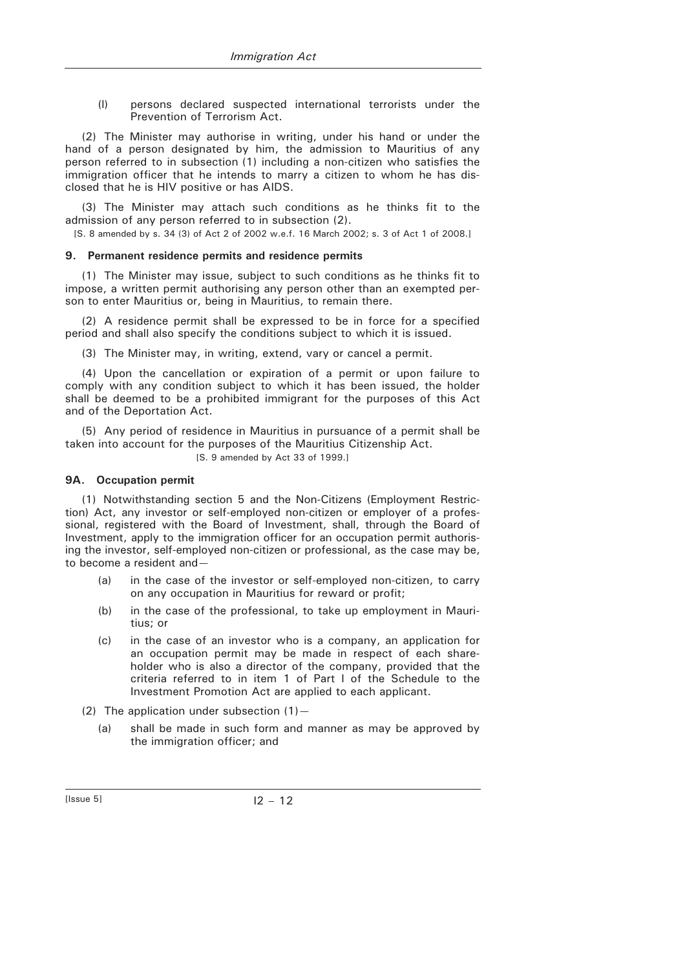(l) persons declared suspected international terrorists under the Prevention of Terrorism Act.

(2) The Minister may authorise in writing, under his hand or under the hand of a person designated by him, the admission to Mauritius of any person referred to in subsection (1) including a non-citizen who satisfies the immigration officer that he intends to marry a citizen to whom he has disclosed that he is HIV positive or has AIDS.

(3) The Minister may attach such conditions as he thinks fit to the admission of any person referred to in subsection (2).

[S. 8 amended by s. 34 (3) of Act 2 of 2002 w.e.f. 16 March 2002; s. 3 of Act 1 of 2008.]

## **9. Permanent residence permits and residence permits**

(1) The Minister may issue, subject to such conditions as he thinks fit to impose, a written permit authorising any person other than an exempted person to enter Mauritius or, being in Mauritius, to remain there.

(2) A residence permit shall be expressed to be in force for a specified period and shall also specify the conditions subject to which it is issued.

(3) The Minister may, in writing, extend, vary or cancel a permit.

(4) Upon the cancellation or expiration of a permit or upon failure to comply with any condition subject to which it has been issued, the holder shall be deemed to be a prohibited immigrant for the purposes of this Act and of the Deportation Act.

(5) Any period of residence in Mauritius in pursuance of a permit shall be taken into account for the purposes of the Mauritius Citizenship Act.

### [S. 9 amended by Act 33 of 1999.]

#### **9A. Occupation permit**

(1) Notwithstanding section 5 and the Non-Citizens (Employment Restriction) Act, any investor or self-employed non-citizen or employer of a professional, registered with the Board of Investment, shall, through the Board of Investment, apply to the immigration officer for an occupation permit authorising the investor, self-employed non-citizen or professional, as the case may be, to become a resident and—

- (a) in the case of the investor or self-employed non-citizen, to carry on any occupation in Mauritius for reward or profit;
- (b) in the case of the professional, to take up employment in Mauritius; or
- (c) in the case of an investor who is a company, an application for an occupation permit may be made in respect of each shareholder who is also a director of the company, provided that the criteria referred to in item 1 of Part I of the Schedule to the Investment Promotion Act are applied to each applicant.
- (2) The application under subsection  $(1)$  -
	- (a) shall be made in such form and manner as may be approved by the immigration officer; and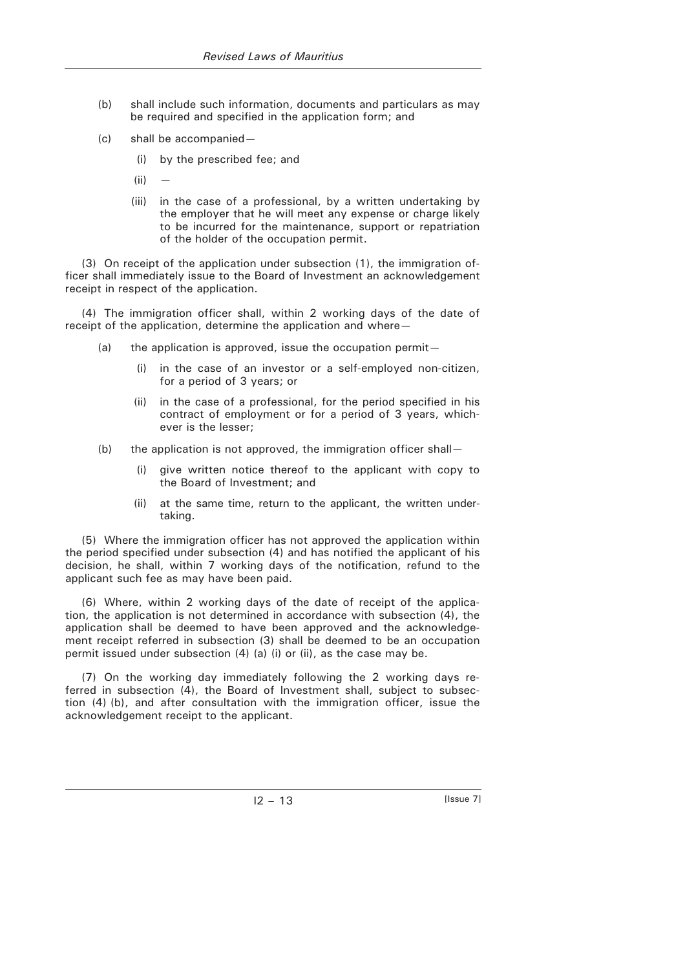- (b) shall include such information, documents and particulars as may be required and specified in the application form; and
- (c) shall be accompanied—
	- (i) by the prescribed fee; and
	- $(ii)$
	- (iii) in the case of a professional, by a written undertaking by the employer that he will meet any expense or charge likely to be incurred for the maintenance, support or repatriation of the holder of the occupation permit.

(3) On receipt of the application under subsection (1), the immigration officer shall immediately issue to the Board of Investment an acknowledgement receipt in respect of the application.

(4) The immigration officer shall, within 2 working days of the date of receipt of the application, determine the application and where—

- (a) the application is approved, issue the occupation permit—
	- (i) in the case of an investor or a self-employed non-citizen, for a period of 3 years; or
	- (ii) in the case of a professional, for the period specified in his contract of employment or for a period of 3 years, whichever is the lesser;
- (b) the application is not approved, the immigration officer shall—
	- (i) give written notice thereof to the applicant with copy to the Board of Investment; and
	- (ii) at the same time, return to the applicant, the written undertaking.

(5) Where the immigration officer has not approved the application within the period specified under subsection (4) and has notified the applicant of his decision, he shall, within 7 working days of the notification, refund to the applicant such fee as may have been paid.

(6) Where, within 2 working days of the date of receipt of the application, the application is not determined in accordance with subsection (4), the application shall be deemed to have been approved and the acknowledgement receipt referred in subsection (3) shall be deemed to be an occupation permit issued under subsection (4) (a) (i) or (ii), as the case may be.

(7) On the working day immediately following the 2 working days referred in subsection (4), the Board of Investment shall, subject to subsection (4) (b), and after consultation with the immigration officer, issue the acknowledgement receipt to the applicant.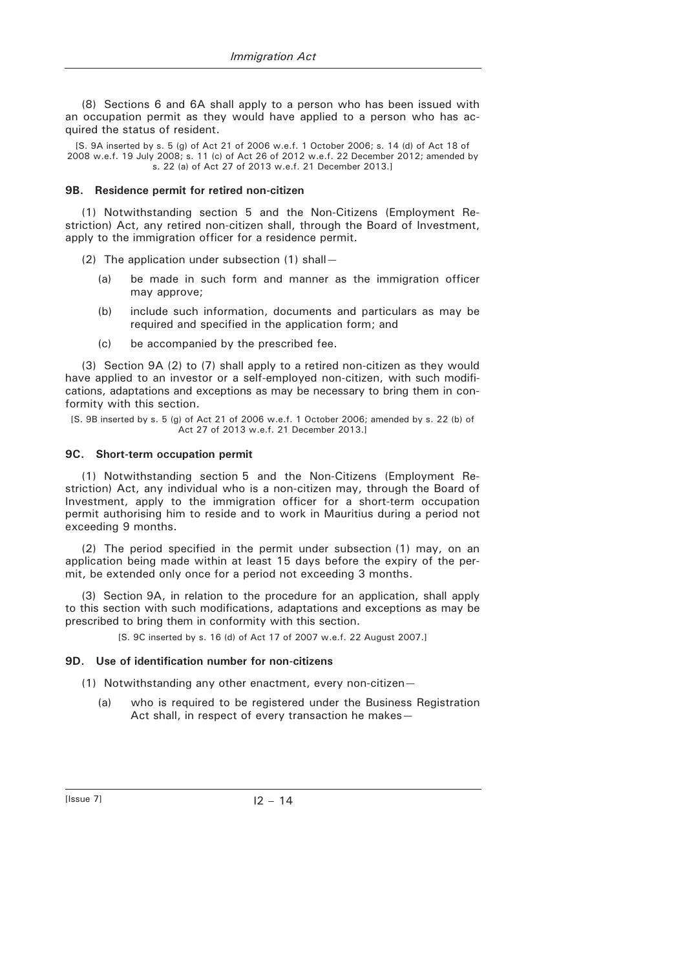(8) Sections 6 and 6A shall apply to a person who has been issued with an occupation permit as they would have applied to a person who has acquired the status of resident.

[S. 9A inserted by s. 5 (g) of Act 21 of 2006 w.e.f. 1 October 2006; s. 14 (d) of Act 18 of 2008 w.e.f. 19 July 2008; s. 11 (c) of Act 26 of 2012 w.e.f. 22 December 2012; amended by s. 22 (a) of Act 27 of 2013 w.e.f. 21 December 2013.]

### **9B. Residence permit for retired non-citizen**

(1) Notwithstanding section 5 and the Non-Citizens (Employment Restriction) Act, any retired non-citizen shall, through the Board of Investment, apply to the immigration officer for a residence permit.

(2) The application under subsection (1) shall—

- (a) be made in such form and manner as the immigration officer may approve;
- (b) include such information, documents and particulars as may be required and specified in the application form; and
- (c) be accompanied by the prescribed fee.

(3) Section 9A (2) to (7) shall apply to a retired non-citizen as they would have applied to an investor or a self-employed non-citizen, with such modifications, adaptations and exceptions as may be necessary to bring them in conformity with this section.

[S. 9B inserted by s. 5 (g) of Act 21 of 2006 w.e.f. 1 October 2006; amended by s. 22 (b) of Act 27 of 2013 w.e.f. 21 December 2013.]

## **9C. Short-term occupation permit**

(1) Notwithstanding section 5 and the Non-Citizens (Employment Restriction) Act, any individual who is a non-citizen may, through the Board of Investment, apply to the immigration officer for a short-term occupation permit authorising him to reside and to work in Mauritius during a period not exceeding 9 months.

(2) The period specified in the permit under subsection (1) may, on an application being made within at least 15 days before the expiry of the permit, be extended only once for a period not exceeding 3 months.

(3) Section 9A, in relation to the procedure for an application, shall apply to this section with such modifications, adaptations and exceptions as may be prescribed to bring them in conformity with this section.

[S. 9C inserted by s. 16 (d) of Act 17 of 2007 w.e.f. 22 August 2007.]

## **9D. Use of identification number for non-citizens**

- (1) Notwithstanding any other enactment, every non-citizen—
	- (a) who is required to be registered under the Business Registration Act shall, in respect of every transaction he makes—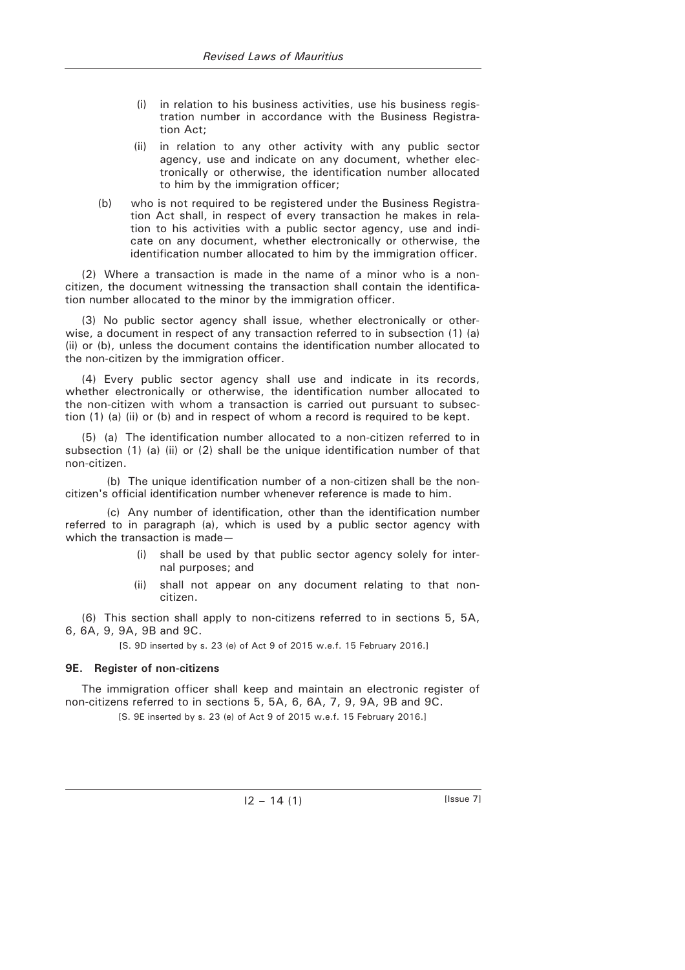- (i) in relation to his business activities, use his business registration number in accordance with the Business Registration Act;
- (ii) in relation to any other activity with any public sector agency, use and indicate on any document, whether electronically or otherwise, the identification number allocated to him by the immigration officer;
- (b) who is not required to be registered under the Business Registration Act shall, in respect of every transaction he makes in relation to his activities with a public sector agency, use and indicate on any document, whether electronically or otherwise, the identification number allocated to him by the immigration officer.

(2) Where a transaction is made in the name of a minor who is a noncitizen, the document witnessing the transaction shall contain the identification number allocated to the minor by the immigration officer.

(3) No public sector agency shall issue, whether electronically or otherwise, a document in respect of any transaction referred to in subsection (1) (a) (ii) or (b), unless the document contains the identification number allocated to the non-citizen by the immigration officer.

(4) Every public sector agency shall use and indicate in its records, whether electronically or otherwise, the identification number allocated to the non-citizen with whom a transaction is carried out pursuant to subsection (1) (a) (ii) or (b) and in respect of whom a record is required to be kept.

(5) (a) The identification number allocated to a non-citizen referred to in subsection (1) (a) (ii) or (2) shall be the unique identification number of that non-citizen.

(b) The unique identification number of a non-citizen shall be the noncitizen's official identification number whenever reference is made to him.

(c) Any number of identification, other than the identification number referred to in paragraph (a), which is used by a public sector agency with which the transaction is made—

- (i) shall be used by that public sector agency solely for internal purposes; and
- (ii) shall not appear on any document relating to that noncitizen.

(6) This section shall apply to non-citizens referred to in sections 5, 5A, 6, 6A, 9, 9A, 9B and 9C.

[S. 9D inserted by s. 23 (e) of Act 9 of 2015 w.e.f. 15 February 2016.]

## **9E. Register of non-citizens**

The immigration officer shall keep and maintain an electronic register of non-citizens referred to in sections 5, 5A, 6, 6A, 7, 9, 9A, 9B and 9C.

[S. 9E inserted by s. 23 (e) of Act 9 of 2015 w.e.f. 15 February 2016.]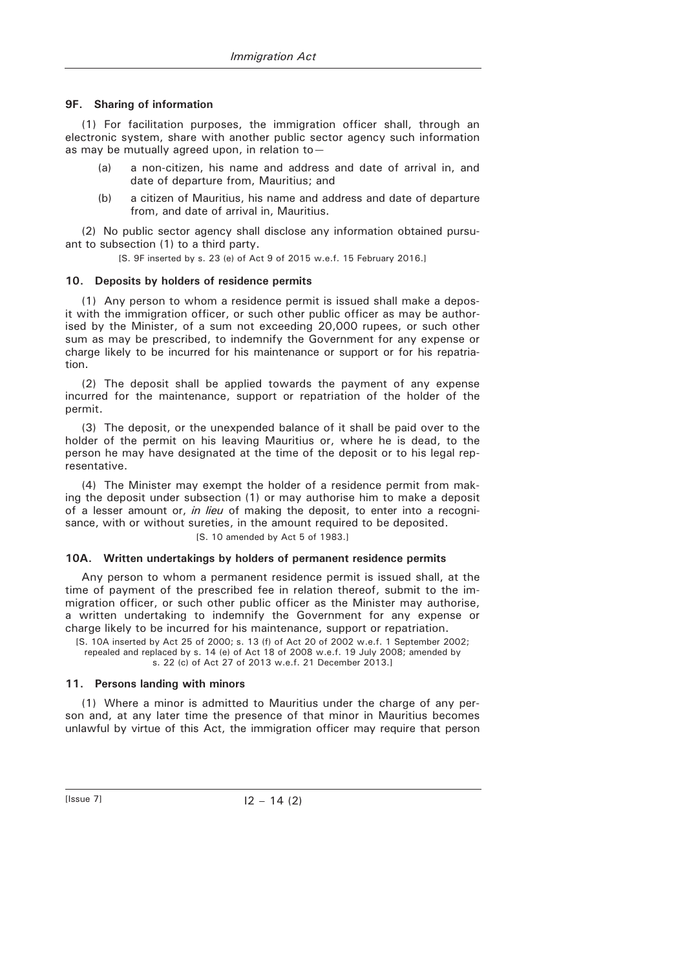## **9F. Sharing of information**

(1) For facilitation purposes, the immigration officer shall, through an electronic system, share with another public sector agency such information as may be mutually agreed upon, in relation to—

- (a) a non-citizen, his name and address and date of arrival in, and date of departure from, Mauritius; and
- (b) a citizen of Mauritius, his name and address and date of departure from, and date of arrival in, Mauritius.

(2) No public sector agency shall disclose any information obtained pursuant to subsection (1) to a third party.

[S. 9F inserted by s. 23 (e) of Act 9 of 2015 w.e.f. 15 February 2016.]

### **10. Deposits by holders of residence permits**

(1) Any person to whom a residence permit is issued shall make a deposit with the immigration officer, or such other public officer as may be authorised by the Minister, of a sum not exceeding 20,000 rupees, or such other sum as may be prescribed, to indemnify the Government for any expense or charge likely to be incurred for his maintenance or support or for his repatriation.

(2) The deposit shall be applied towards the payment of any expense incurred for the maintenance, support or repatriation of the holder of the permit.

(3) The deposit, or the unexpended balance of it shall be paid over to the holder of the permit on his leaving Mauritius or, where he is dead, to the person he may have designated at the time of the deposit or to his legal representative.

(4) The Minister may exempt the holder of a residence permit from making the deposit under subsection (1) or may authorise him to make a deposit of a lesser amount or, *in lieu* of making the deposit, to enter into a recognisance, with or without sureties, in the amount required to be deposited. [S. 10 amended by Act 5 of 1983.]

#### **10A. Written undertakings by holders of permanent residence permits**

Any person to whom a permanent residence permit is issued shall, at the time of payment of the prescribed fee in relation thereof, submit to the immigration officer, or such other public officer as the Minister may authorise, a written undertaking to indemnify the Government for any expense or charge likely to be incurred for his maintenance, support or repatriation.

[S. 10A inserted by Act 25 of 2000; s. 13 (f) of Act 20 of 2002 w.e.f. 1 September 2002; repealed and replaced by s. 14 (e) of Act 18 of 2008 w.e.f. 19 July 2008; amended by s. 22 (c) of Act 27 of 2013 w.e.f. 21 December 2013.]

#### **11. Persons landing with minors**

(1) Where a minor is admitted to Mauritius under the charge of any person and, at any later time the presence of that minor in Mauritius becomes unlawful by virtue of this Act, the immigration officer may require that person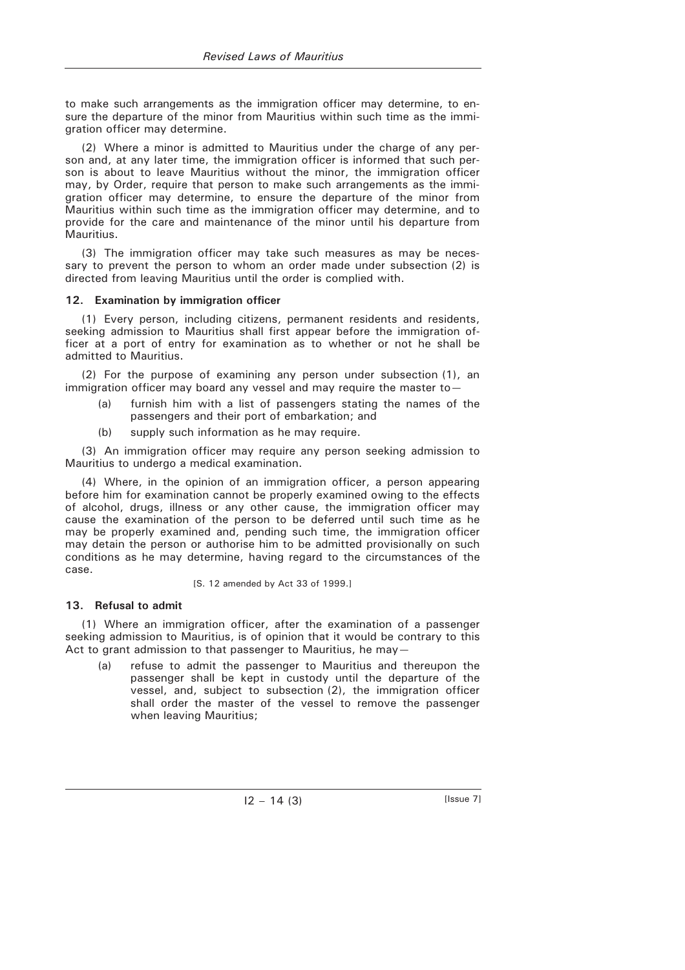to make such arrangements as the immigration officer may determine, to ensure the departure of the minor from Mauritius within such time as the immigration officer may determine.

(2) Where a minor is admitted to Mauritius under the charge of any person and, at any later time, the immigration officer is informed that such person is about to leave Mauritius without the minor, the immigration officer may, by Order, require that person to make such arrangements as the immigration officer may determine, to ensure the departure of the minor from Mauritius within such time as the immigration officer may determine, and to provide for the care and maintenance of the minor until his departure from Mauritius.

(3) The immigration officer may take such measures as may be necessary to prevent the person to whom an order made under subsection (2) is directed from leaving Mauritius until the order is complied with.

### **12. Examination by immigration officer**

(1) Every person, including citizens, permanent residents and residents, seeking admission to Mauritius shall first appear before the immigration officer at a port of entry for examination as to whether or not he shall be admitted to Mauritius.

(2) For the purpose of examining any person under subsection (1), an immigration officer may board any vessel and may require the master to—

- (a) furnish him with a list of passengers stating the names of the passengers and their port of embarkation; and
- (b) supply such information as he may require.

(3) An immigration officer may require any person seeking admission to Mauritius to undergo a medical examination.

(4) Where, in the opinion of an immigration officer, a person appearing before him for examination cannot be properly examined owing to the effects of alcohol, drugs, illness or any other cause, the immigration officer may cause the examination of the person to be deferred until such time as he may be properly examined and, pending such time, the immigration officer may detain the person or authorise him to be admitted provisionally on such conditions as he may determine, having regard to the circumstances of the case.

[S. 12 amended by Act 33 of 1999.]

# **13. Refusal to admit**

(1) Where an immigration officer, after the examination of a passenger seeking admission to Mauritius, is of opinion that it would be contrary to this Act to grant admission to that passenger to Mauritius, he may-

refuse to admit the passenger to Mauritius and thereupon the passenger shall be kept in custody until the departure of the vessel, and, subject to subsection (2), the immigration officer shall order the master of the vessel to remove the passenger when leaving Mauritius;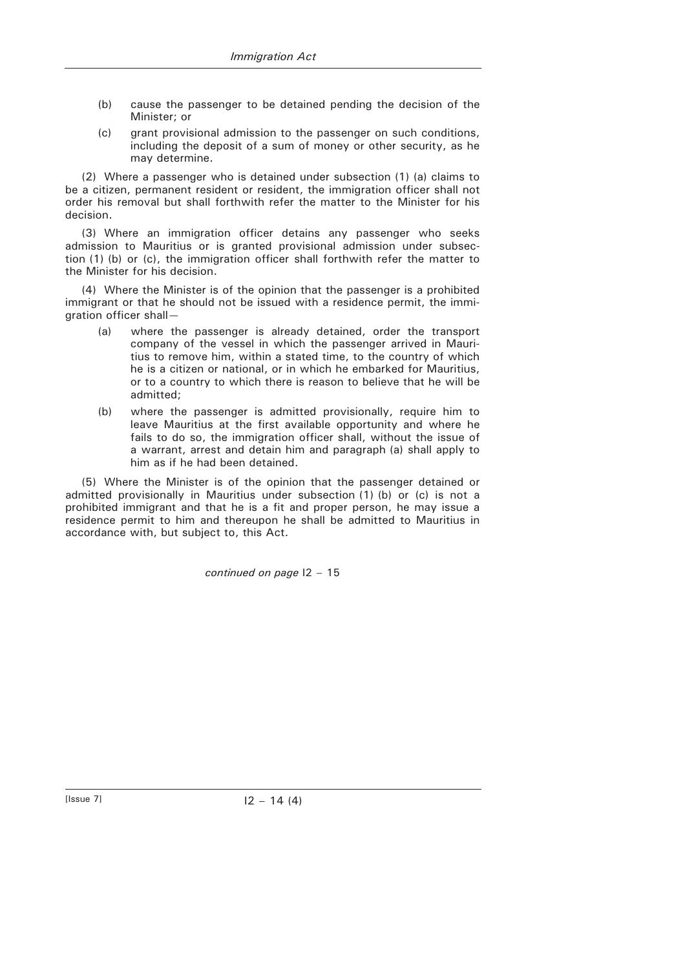- (b) cause the passenger to be detained pending the decision of the Minister; or
- (c) grant provisional admission to the passenger on such conditions, including the deposit of a sum of money or other security, as he may determine.

(2) Where a passenger who is detained under subsection (1) (a) claims to be a citizen, permanent resident or resident, the immigration officer shall not order his removal but shall forthwith refer the matter to the Minister for his decision.

(3) Where an immigration officer detains any passenger who seeks admission to Mauritius or is granted provisional admission under subsection (1) (b) or (c), the immigration officer shall forthwith refer the matter to the Minister for his decision.

(4) Where the Minister is of the opinion that the passenger is a prohibited immigrant or that he should not be issued with a residence permit, the immigration officer shall—

- (a) where the passenger is already detained, order the transport company of the vessel in which the passenger arrived in Mauritius to remove him, within a stated time, to the country of which he is a citizen or national, or in which he embarked for Mauritius, or to a country to which there is reason to believe that he will be admitted;
- (b) where the passenger is admitted provisionally, require him to leave Mauritius at the first available opportunity and where he fails to do so, the immigration officer shall, without the issue of a warrant, arrest and detain him and paragraph (a) shall apply to him as if he had been detained.

(5) Where the Minister is of the opinion that the passenger detained or admitted provisionally in Mauritius under subsection (1) (b) or (c) is not a prohibited immigrant and that he is a fit and proper person, he may issue a residence permit to him and thereupon he shall be admitted to Mauritius in accordance with, but subject to, this Act.

*continued on page* I2 – 15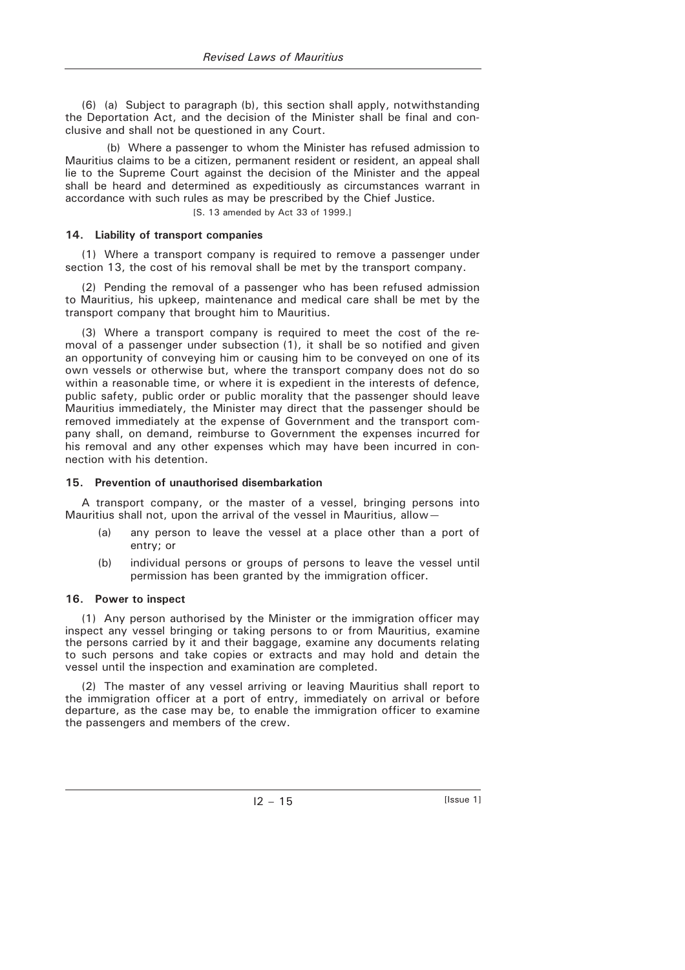(6) (a) Subject to paragraph (b), this section shall apply, notwithstanding the Deportation Act, and the decision of the Minister shall be final and conclusive and shall not be questioned in any Court.

(b) Where a passenger to whom the Minister has refused admission to Mauritius claims to be a citizen, permanent resident or resident, an appeal shall lie to the Supreme Court against the decision of the Minister and the appeal shall be heard and determined as expeditiously as circumstances warrant in accordance with such rules as may be prescribed by the Chief Justice.

[S. 13 amended by Act 33 of 1999.]

## **14. Liability of transport companies**

(1) Where a transport company is required to remove a passenger under section 13, the cost of his removal shall be met by the transport company.

(2) Pending the removal of a passenger who has been refused admission to Mauritius, his upkeep, maintenance and medical care shall be met by the transport company that brought him to Mauritius.

(3) Where a transport company is required to meet the cost of the removal of a passenger under subsection (1), it shall be so notified and given an opportunity of conveying him or causing him to be conveyed on one of its own vessels or otherwise but, where the transport company does not do so within a reasonable time, or where it is expedient in the interests of defence, public safety, public order or public morality that the passenger should leave Mauritius immediately, the Minister may direct that the passenger should be removed immediately at the expense of Government and the transport company shall, on demand, reimburse to Government the expenses incurred for his removal and any other expenses which may have been incurred in connection with his detention.

### **15. Prevention of unauthorised disembarkation**

A transport company, or the master of a vessel, bringing persons into Mauritius shall not, upon the arrival of the vessel in Mauritius, allow—

- (a) any person to leave the vessel at a place other than a port of entry; or
- (b) individual persons or groups of persons to leave the vessel until permission has been granted by the immigration officer.

### **16. Power to inspect**

(1) Any person authorised by the Minister or the immigration officer may inspect any vessel bringing or taking persons to or from Mauritius, examine the persons carried by it and their baggage, examine any documents relating to such persons and take copies or extracts and may hold and detain the vessel until the inspection and examination are completed.

(2) The master of any vessel arriving or leaving Mauritius shall report to the immigration officer at a port of entry, immediately on arrival or before departure, as the case may be, to enable the immigration officer to examine the passengers and members of the crew.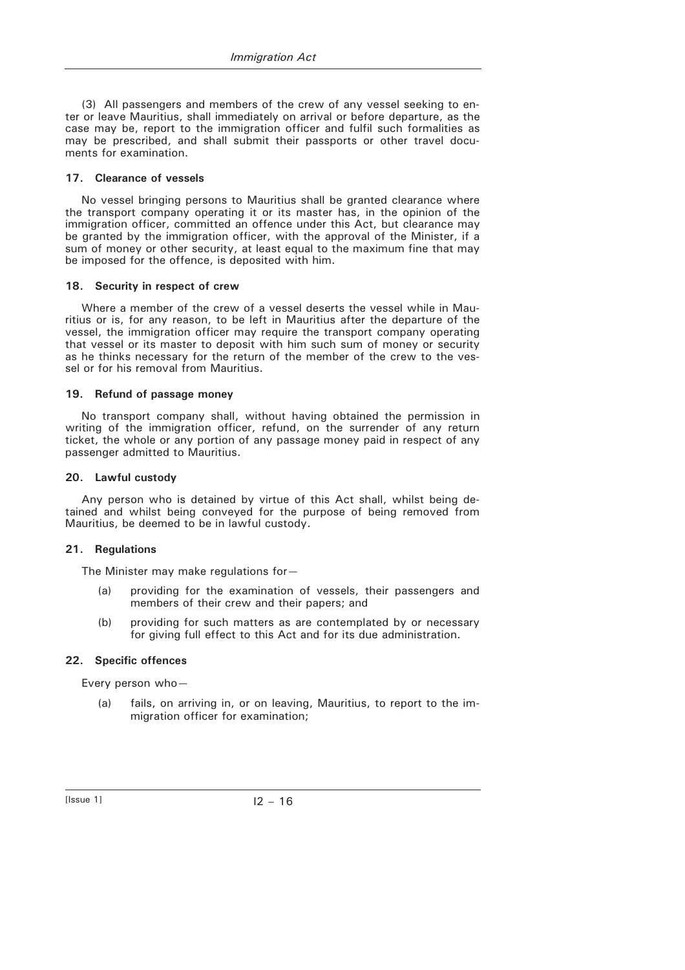(3) All passengers and members of the crew of any vessel seeking to enter or leave Mauritius, shall immediately on arrival or before departure, as the case may be, report to the immigration officer and fulfil such formalities as may be prescribed, and shall submit their passports or other travel documents for examination.

#### **17. Clearance of vessels**

No vessel bringing persons to Mauritius shall be granted clearance where the transport company operating it or its master has, in the opinion of the immigration officer, committed an offence under this Act, but clearance may be granted by the immigration officer, with the approval of the Minister, if a sum of money or other security, at least equal to the maximum fine that may be imposed for the offence, is deposited with him.

#### **18. Security in respect of crew**

Where a member of the crew of a vessel deserts the vessel while in Mauritius or is, for any reason, to be left in Mauritius after the departure of the vessel, the immigration officer may require the transport company operating that vessel or its master to deposit with him such sum of money or security as he thinks necessary for the return of the member of the crew to the vessel or for his removal from Mauritius.

#### **19. Refund of passage money**

No transport company shall, without having obtained the permission in writing of the immigration officer, refund, on the surrender of any return ticket, the whole or any portion of any passage money paid in respect of any passenger admitted to Mauritius.

#### **20. Lawful custody**

Any person who is detained by virtue of this Act shall, whilst being detained and whilst being conveyed for the purpose of being removed from Mauritius, be deemed to be in lawful custody.

#### **21. Regulations**

The Minister may make regulations for—

- (a) providing for the examination of vessels, their passengers and members of their crew and their papers; and
- (b) providing for such matters as are contemplated by or necessary for giving full effect to this Act and for its due administration.

### **22. Specific offences**

Every person who—

 (a) fails, on arriving in, or on leaving, Mauritius, to report to the immigration officer for examination;